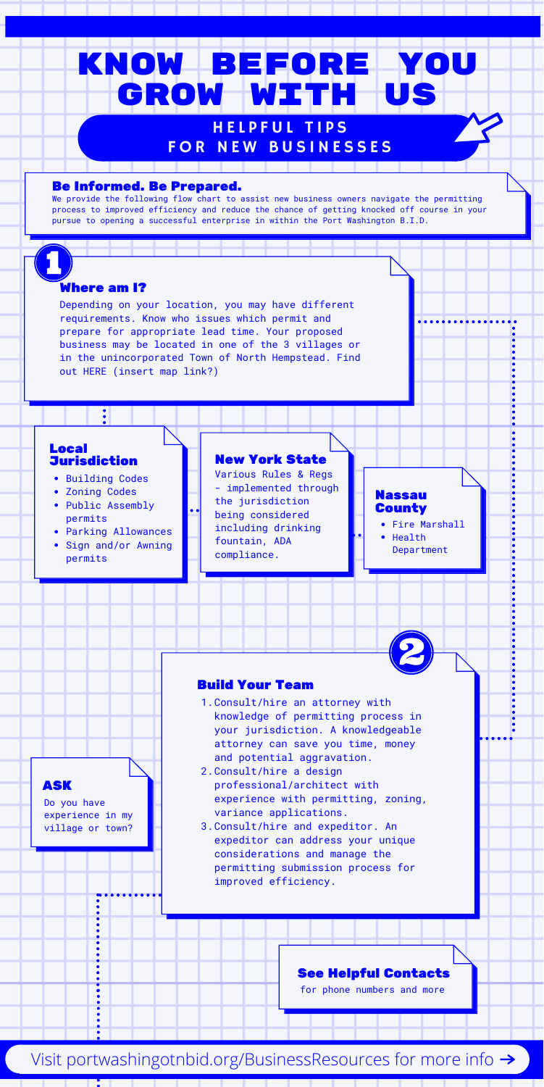Depending on your location, you may have different requirements. Know who issues which permit and prepare for appropriate lead time. Your proposed business may be located in one of the 3 villages or in the unincorporated Town of North Hempstead. Find out HERE (insert map link?)

- 1. Consult/hire an attorney with knowledge of permitting process in your jurisdiction. A knowledgeable attorney can save you time, money and potential aggravation.
- 2.Consult/hire a design professional/architect with experience with permitting, zoning, variance applications.

### Where am I?

3. Consult/hire and expeditor. An expeditor can address your unique considerations and manage the permitting submission process for improved efficiency.

- Building Codes
- Zoning Codes
- Public Assembly permits
- Parking Allowances
- Sign and/or Awning permits

#### Nassau **County**

We provide the following flow chart to assist new business owners navigate the permitting process to improved efficiency and reduce the chance of getting knocked off course in your pursue to opening a successful enterprise in within the Port Washington B.I.D.

# Know Before You GROW WITH US

### HELPFUL TIPS FOR NEW BUSINESSES

### Build Your Team

### Local Jurisdiction

Various Rules & Regs - implemented through the jurisdiction being considered including drinking fountain, ADA compliance.

### New York State

- Fire Marshall
- Health Department

#### Be Informed. Be Prepared.

for phone numbers and more

Visit portwashingotnbid.org/BusinessResources for more info  $\rightarrow$ 

### See Helpful Contacts

Do you have experience in my village or town?

ASK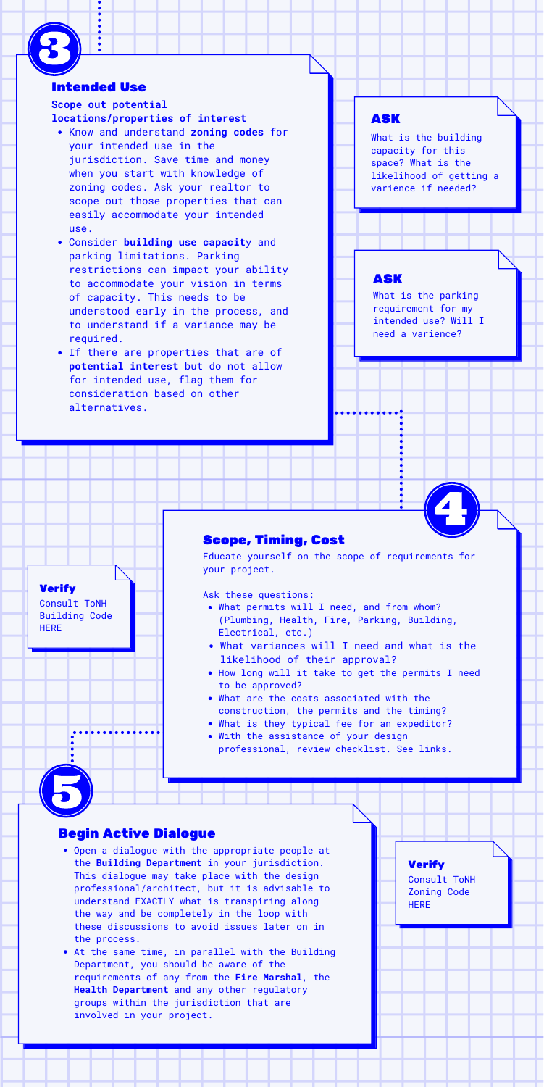- What permits will I need, and from whom? (Plumbing, Health, Fire, Parking, Building, Electrical, etc.)
- What variances will I need and what is the likelihood of their approval?
- How long will it take to get the permits I need to be approved?
- What are the costs associated with the construction, the permits and the timing?
- What is they typical fee for an expeditor?
- With the assistance of your design professional, review checklist. See links.

**Verify** 

Educate yourself on the scope of requirements for your project.

Ask these questions:

### Scope, Timing, Cost

### ASK

What is the parking requirement for my intended use? Will I need a varience?

### ASK

What is the building capacity for this space? What is the likelihood of getting a varience if needed?

- Know and understand **zoning codes** for your intended use in the jurisdiction. Save time and money when you start with knowledge of zoning codes. Ask your realtor to scope out those properties that can easily accommodate your intended use.
- Consider **building use capacit**y and parking limitations. Parking restrictions can impact your ability to accommodate your vision in terms of capacity. This needs to be understood early in the process, and to understand if a variance may be required.
- If there are properties that are of **potential interest** but do not allow for intended use, flag them for consideration based on other alternatives.

### **Scope out potential locations/properties of interest**

### Intended Use



Consult ToNH Building Code HERE

- Open a dialogue with the appropriate people at the **Building Department** in your jurisdiction. This dialogue may take place with the design professional/architect, but it is advisable to understand EXACTLY what is transpiring along the way and be completely in the loop with these discussions to avoid issues later on in the process.
- At the same time, in parallel with the Building Department, you should be aware of the requirements of any from the **Fire Marshal**, the **Health Department** and any other regulatory groups within the jurisdiction that are involved in your project.

### Begin Active Dialogue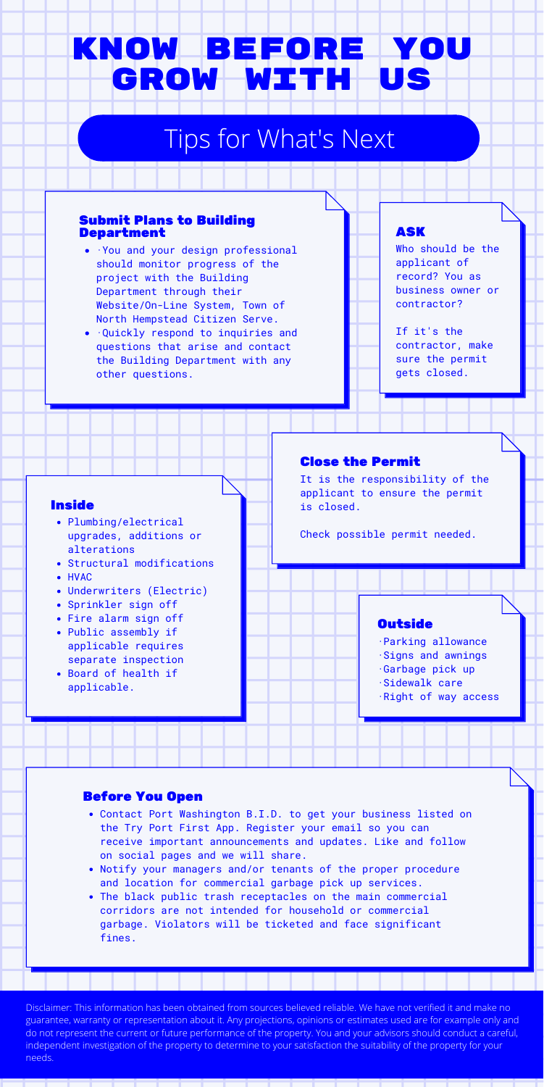## Know Before You Grow with us

## Tips for What's Next

- ·You and your design professional should monitor progress of the project with the Building Department through their Website/On-Line System, Town of North Hempstead Citizen Serve.
- ·Quickly respond to inquiries and questions that arise and contact the Building Department with any other questions.

### Submit Plans to Building Department

It is the responsibility of the applicant to ensure the permit is closed.

Check possible permit needed.

### **Outside**

### Close the Permit

- Contact Port Washington B.I.D. to get your business listed on the Try Port First App. Register your email so you can receive important announcements and updates. Like and follow on social pages and we will share.
- Notify your managers and/or tenants of the proper procedure and location for commercial garbage pick up services.
- The black public trash receptacles on the main commercial corridors are not intended for household or commercial garbage. Violators will be ticketed and face significant fines.
- Plumbing/electrical upgrades, additions or alterations
- Structural modifications HVAC
- Underwriters (Electric)
- Sprinkler sign off
- Fire alarm sign off
- Public assembly if applicable requires separate inspection
- Board of health if applicable.

### Before You Open

Disclaimer: This information has been obtained from sources believed reliable. We have not verified it and make no guarantee, warranty or representation about it. Any projections, opinions or estimates used are for example only and do not represent the current or future performance of the property. You and your advisors should conduct a careful, independent investigation of the property to determine to your satisfaction the suitability of the property for your needs.

### Inside

- ·Parking allowance
- ·Signs and awnings
- ·Garbage pick up
- ·Sidewalk care
- ·Right of way access

Who should be the applicant of record? You as business owner or contractor?

If it's the contractor, make sure the permit gets closed.

### ASK